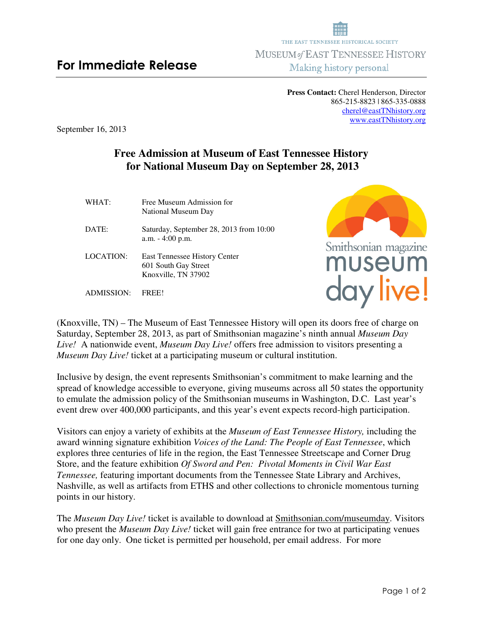**Press Contact:** Cherel Henderson, Director 865-215-8823 | 865-335-0888 cherel@eastTNhistory.org www.eastTNhistory.org

September 16, 2013

## **Free Admission at Museum of East Tennessee History for National Museum Day on September 28, 2013**

| WHAT:            | Free Museum Admission for<br>National Museum Day                             |
|------------------|------------------------------------------------------------------------------|
| DATE:            | Saturday, September 28, 2013 from 10:00<br>$a.m. - 4:00 p.m.$                |
| <b>LOCATION:</b> | East Tennessee History Center<br>601 South Gay Street<br>Knoxville, TN 37902 |
| ADMISSION·       | FREEL                                                                        |



day live!

(Knoxville, TN) – The Museum of East Tennessee History will open its doors free of charge on Saturday, September 28, 2013, as part of Smithsonian magazine's ninth annual *Museum Day Live!* A nationwide event, *Museum Day Live!* offers free admission to visitors presenting a *Museum Day Live!* ticket at a participating museum or cultural institution.

Inclusive by design, the event represents Smithsonian's commitment to make learning and the spread of knowledge accessible to everyone, giving museums across all 50 states the opportunity to emulate the admission policy of the Smithsonian museums in Washington, D.C. Last year's event drew over 400,000 participants, and this year's event expects record-high participation.

Visitors can enjoy a variety of exhibits at the *Museum of East Tennessee History,* including the award winning signature exhibition *Voices of the Land: The People of East Tennessee*, which explores three centuries of life in the region, the East Tennessee Streetscape and Corner Drug Store, and the feature exhibition *Of Sword and Pen: Pivotal Moments in Civil War East Tennessee,* featuring important documents from the Tennessee State Library and Archives, Nashville, as well as artifacts from ETHS and other collections to chronicle momentous turning points in our history.

The *Museum Day Live!* ticket is available to download at Smithsonian.com/museumday. Visitors who present the *Museum Day Live!* ticket will gain free entrance for two at participating venues for one day only. One ticket is permitted per household, per email address. For more